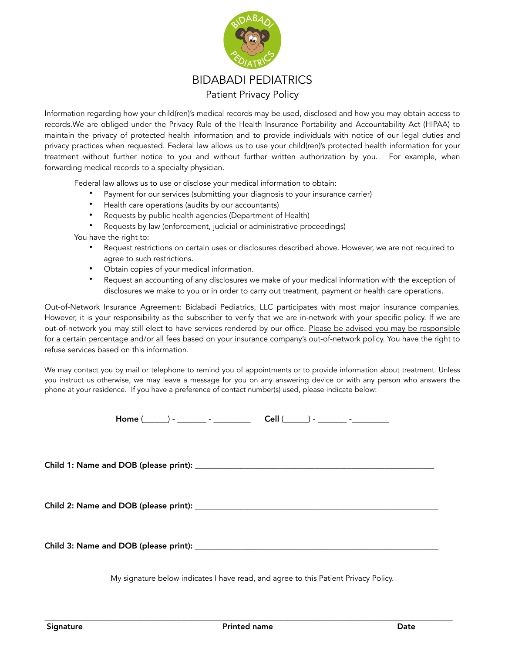

Information regarding how your child(ren)'s medical records may be used, disclosed and how you may obtain access to records.We are obliged under the Privacy Rule of the Health Insurance Portability and Accountability Act (HIPAA) to maintain the privacy of protected health information and to provide individuals with notice of our legal duties and privacy practices when requested. Federal law allows us to use your child(ren)'s protected health information for your treatment without further notice to you and without further written authorization by you. For example, when forwarding medical records to a specialty physician.

Federal law allows us to use or disclose your medical information to obtain:

- Payment for our services (submitting your diagnosis to your insurance carrier)
- Health care operations (audits by our accountants)
- Requests by public health agencies (Department of Health)
- Requests by law (enforcement, judicial or administrative proceedings)

You have the right to:

- Request restrictions on certain uses or disclosures described above. However, we are not required to agree to such restrictions.
- Obtain copies of your medical information.
- Request an accounting of any disclosures we make of your medical information with the exception of disclosures we make to you or in order to carry out treatment, payment or health care operations.

Out-of-Network Insurance Agreement: Bidabadi Pediatrics, LLC participates with most major insurance companies. However, it is your responsibility as the subscriber to verify that we are in-network with your specific policy. If we are out-of-network you may still elect to have services rendered by our office. Please be advised you may be responsible for a certain percentage and/or all fees based on your insurance company's out-of-network policy. You have the right to refuse services based on this information.

We may contact you by mail or telephone to remind you of appointments or to provide information about treatment. Unless you instruct us otherwise, we may leave a message for you on any answering device or with any person who answers the phone at your residence. If you have a preference of contact number(s) used, please indicate below:

 $Home ( ) -$  -  $-cell ( ) -$ 

Child 1: Name and DOB (please print): \_\_\_\_\_\_\_\_\_\_\_\_\_\_\_\_\_\_\_\_\_\_\_\_\_\_\_\_\_\_\_\_\_\_\_\_\_\_\_\_\_\_\_\_\_\_\_\_\_\_\_\_\_\_\_\_\_\_

Child 2: Name and DOB (please print):

Child 3: Name and DOB (please print): \_\_\_\_\_\_\_\_\_\_\_\_\_\_\_\_\_\_\_\_\_\_\_\_\_\_\_\_\_\_\_\_\_\_\_\_\_\_\_\_\_\_\_\_\_\_\_\_\_\_\_\_\_\_\_\_\_\_\_

My signature below indicates I have read, and agree to this Patient Privacy Policy.